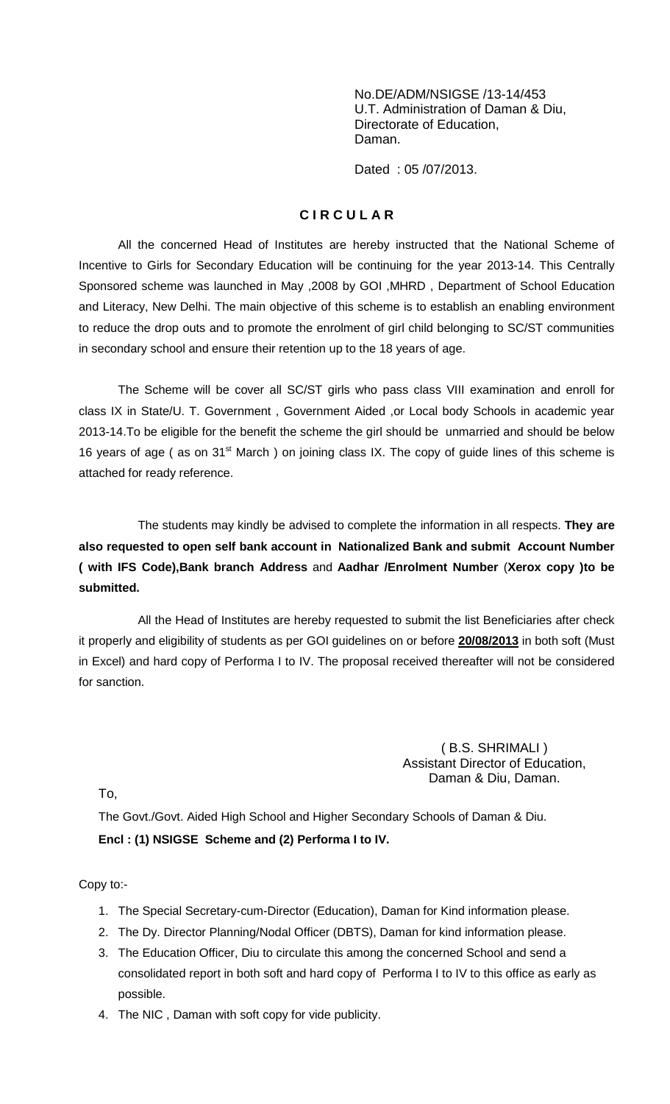No.DE/ADM/NSIGSE /13-14/453 U.T. Administration of Daman & Diu, Directorate of Education, Daman.

Dated : 05 /07/2013.

## **C I R C U L A R**

All the concerned Head of Institutes are hereby instructed that the National Scheme of Incentive to Girls for Secondary Education will be continuing for the year 2013-14. This Centrally Sponsored scheme was launched in May ,2008 by GOI ,MHRD , Department of School Education and Literacy, New Delhi. The main objective of this scheme is to establish an enabling environment to reduce the drop outs and to promote the enrolment of girl child belonging to SC/ST communities in secondary school and ensure their retention up to the 18 years of age.

The Scheme will be cover all SC/ST girls who pass class VIII examination and enroll for class IX in State/U. T. Government , Government Aided ,or Local body Schools in academic year 2013-14.To be eligible for the benefit the scheme the girl should be unmarried and should be below 16 years of age ( as on  $31<sup>st</sup>$  March ) on joining class IX. The copy of guide lines of this scheme is attached for ready reference.

The students may kindly be advised to complete the information in all respects. **They are also requested to open self bank account in Nationalized Bank and submit Account Number ( with IFS Code),Bank branch Address** and **Aadhar /Enrolment Number** (**Xerox copy )to be submitted.**

All the Head of Institutes are hereby requested to submit the list Beneficiaries after check it properly and eligibility of students as per GOI guidelines on or before **20/08/2013** in both soft (Must in Excel) and hard copy of Performa I to IV. The proposal received thereafter will not be considered for sanction.

## ( B.S. SHRIMALI ) Assistant Director of Education, Daman & Diu, Daman.

To,

The Govt./Govt. Aided High School and Higher Secondary Schools of Daman & Diu. **Encl : (1) NSIGSE Scheme and (2) Performa I to IV.**

Copy to:-

- 1. The Special Secretary-cum-Director (Education), Daman for Kind information please.
- 2. The Dy. Director Planning/Nodal Officer (DBTS), Daman for kind information please.
- 3. The Education Officer, Diu to circulate this among the concerned School and send a consolidated report in both soft and hard copy of Performa I to IV to this office as early as possible.
- 4. The NIC , Daman with soft copy for vide publicity.